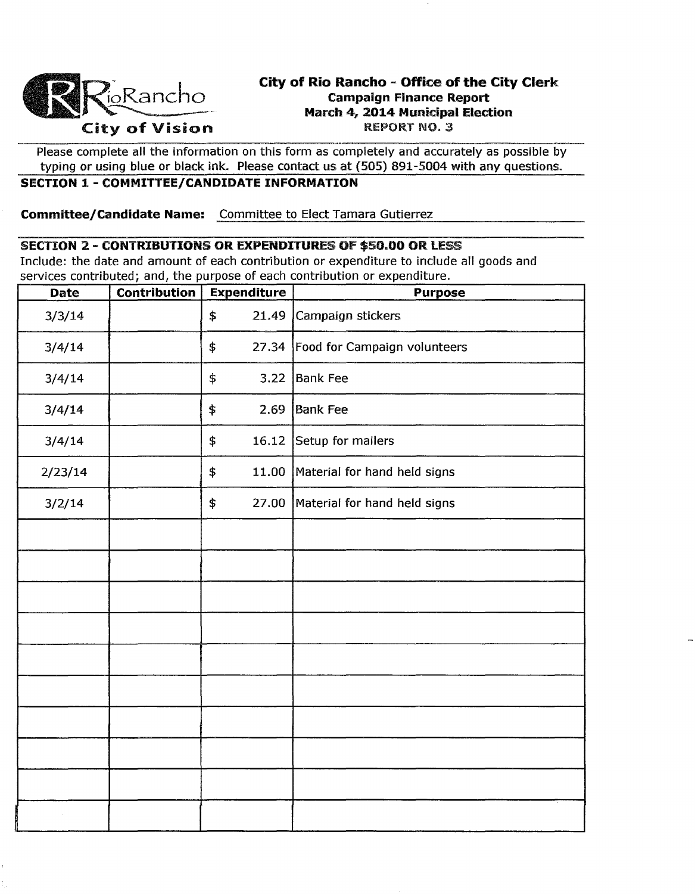

# City of Rio Rancho - Office of the City Clerk Campaign Finance Report March 4, 2014 Municipal Election City of Vision REPORT NO. 3

Please complete all the information on this form as completely and accurately as possible by typing or using blue or black ink. Please contact us at (505) 891-5004 with any questions.

## SECTION 1 - COMMITTEE/CANDIDATE INFORMATION

Committee/Candidate Name: Committee to Elect Tamara Gutierrez

#### SECTION 2 - CONTRIBUTIONS OR EXPENDITURES OF \$50.00 OR LESS

Include: the date and amount of each contribution or expenditure to include all goods and services contributed; and, the purpose of each contribution or expenditure.

| <b>Date</b> | <b>Contribution</b> | <b>Expenditure</b> | <b>Purpose</b>                     |
|-------------|---------------------|--------------------|------------------------------------|
| 3/3/14      |                     | 21.49<br>\$        | Campaign stickers                  |
| 3/4/14      |                     | \$                 | 27.34 Food for Campaign volunteers |
| 3/4/14      |                     | 3.22<br>\$         | <b>Bank Fee</b>                    |
| 3/4/14      |                     | \$<br>2.69         | <b>Bank Fee</b>                    |
| 3/4/14      |                     | \$<br>16.12        | Setup for mailers                  |
| 2/23/14     |                     | \$                 | 11.00 Material for hand held signs |
| 3/2/14      |                     | \$                 | 27.00 Material for hand held signs |
|             |                     |                    |                                    |
|             |                     |                    |                                    |
|             |                     |                    |                                    |
|             |                     |                    |                                    |
|             |                     |                    |                                    |
|             |                     |                    |                                    |
|             |                     |                    |                                    |
|             |                     |                    |                                    |
|             |                     |                    |                                    |
|             |                     |                    |                                    |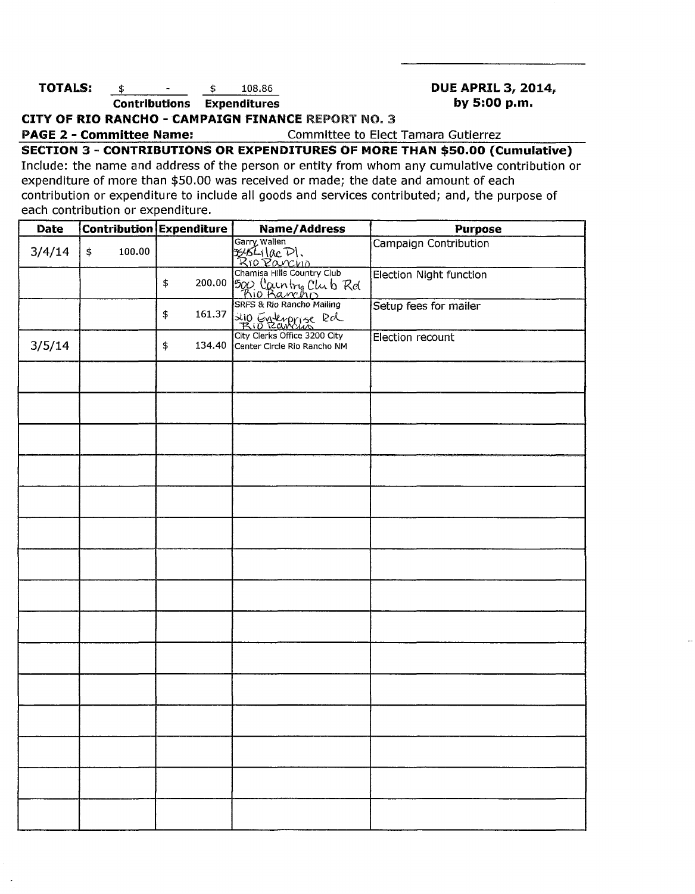### **TOTALS:**  $\frac{2014}{108.86}$  **DUE APRIL 3, 2014 Contributions Expenditures by 5:00 p.m.**

**CITY OF RIO RANCHO - CAMPAIGN FINANCE REPORT NO. 3** 

**PAGE 2 - Committee Name:** Committee to Elect Tamara Gutierrez

**SECTION** 3 - **CONTRIBUTIONS OR EXPENDITURES OF MORE THAN \$50.00 (Cumulative)**  Include: the name and address of the person or entity from whom any cumulative contribution or

expenditure of more than \$50.00 was received or made; the date and amount of each contribution or expenditure to include all goods and services contributed; and, the purpose of each contribution or expenditure.

| Date   |              | Contribution Expenditure | Name/Address                                                              | <b>Purpose</b>               |
|--------|--------------|--------------------------|---------------------------------------------------------------------------|------------------------------|
| 3/4/14 | 100.00<br>\$ |                          | Garry Wallen<br>B454-1 (Ac P)<br>R10 Povenn<br>Chamisa Hills Country Club | <b>Campaign Contribution</b> |
|        |              | 200.00<br>\$             | 500 Country Club Rd<br>Bio Barcho<br>SRFS & Rio Rancho Mailing            | Election Night function      |
|        |              | \$<br>161.37             | 210 Enterprise Rd                                                         | Setup fees for mailer        |
| 3/5/14 |              | \$<br>134.40             | City Clerks Office 3200 City<br>Center Circle Rio Rancho NM               | Election recount             |
|        |              |                          |                                                                           |                              |
|        |              |                          |                                                                           |                              |
|        |              |                          |                                                                           |                              |
|        |              |                          |                                                                           |                              |
|        |              |                          |                                                                           |                              |
|        |              |                          |                                                                           |                              |
|        |              |                          |                                                                           |                              |
|        |              |                          |                                                                           |                              |
|        |              |                          |                                                                           |                              |
|        |              |                          |                                                                           |                              |
|        |              |                          |                                                                           |                              |
|        |              |                          |                                                                           |                              |
|        |              |                          |                                                                           |                              |
|        |              |                          |                                                                           |                              |
|        |              |                          |                                                                           |                              |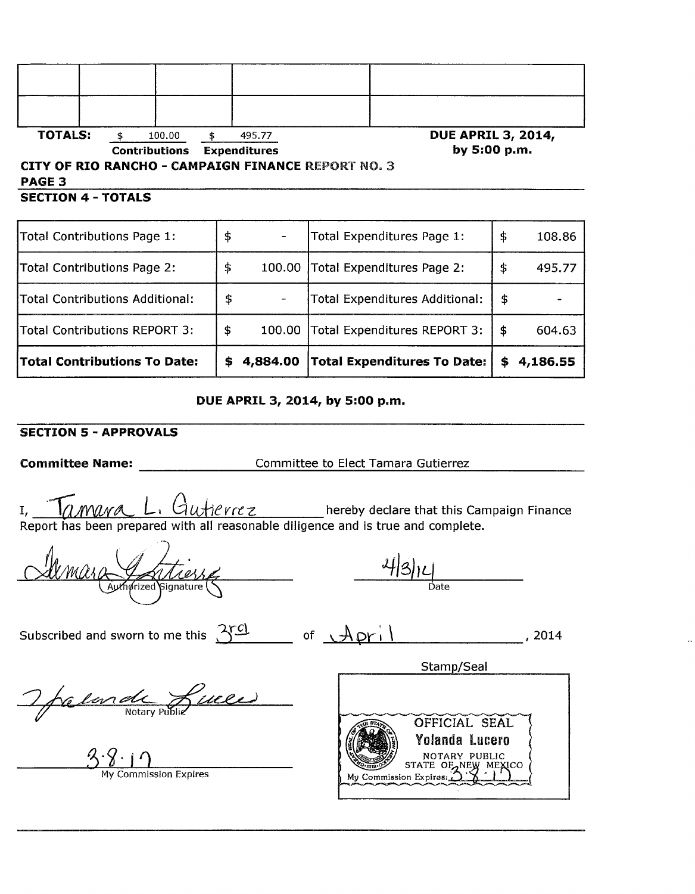| <b>TOTALS:</b>                                            |  | 100.00               |                     | 495.77 |  | <b>DUE APRIL 3, 2014,</b> |  |
|-----------------------------------------------------------|--|----------------------|---------------------|--------|--|---------------------------|--|
|                                                           |  | <b>Contributions</b> | <b>Expenditures</b> |        |  | by 5:00 p.m.              |  |
| <b>CITY OF RIO RANCHO - CAMPAIGN FINANCE REPORT NO. 3</b> |  |                      |                     |        |  |                           |  |
| PAGE 3                                                    |  |                      |                     |        |  |                           |  |
| <b>SECTION 4 - TOTALS</b>                                 |  |                      |                     |        |  |                           |  |

| Total Contributions Page 1:         | \$ |          | Total Expenditures Page 1:         | \$ | 108.86   |
|-------------------------------------|----|----------|------------------------------------|----|----------|
| Total Contributions Page 2:         | \$ | 100.00   | Total Expenditures Page 2:         | \$ | 495.77   |
| Total Contributions Additional:     | \$ |          | Total Expenditures Additional:     | S  |          |
| Total Contributions REPORT 3:       | \$ | 100.00   | Total Expenditures REPORT 3:       | \$ | 604.63   |
| <b>Total Contributions To Date:</b> | S. | 4,884.00 | <b>Total Expenditures To Date:</b> | S  | 4,186.55 |

#### **DUE APRIL 3, 2014, by 5:00 p.m.**

#### **SECTION 5 - APPROVALS**

**Committee Name: \_\_\_\_\_\_\_\_\_\_\_\_\_\_\_\_\_\_\_\_\_Committee to Elect Tamara Gutierrez** 

I, **Iamura L.** Gutierrez hereby declare that this Campaign Finance Report has been prepared with all reasonable diligence and is true and complete.

 $\frac{4|3|1}{\text{Date}}$ 

Subscribed and sworn to me this  $\frac{350}{100}$  of  $\frac{Api}{1}$ , 2014

Stamp/Seal

The lands Luces

 $\frac{3 \cdot 8 \cdot 1}{\frac{3}{2}} \cdot \frac{1}{\frac{3}{2}}$ 

OFFICIAL SEAL Yolanda lucero NOTARY PUBLIC<br>STATE OF AREA MEXICO My Commission Expires: (